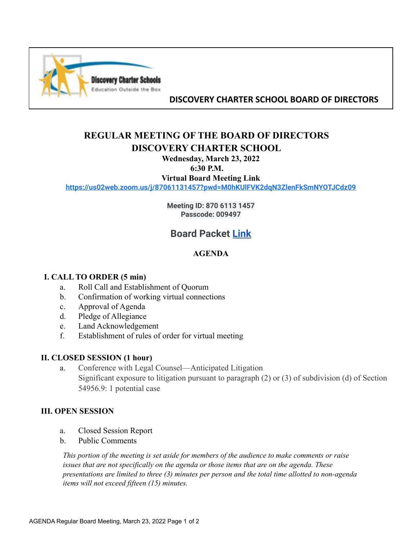

## **DISCOVERY CHARTER SCHOOL BOARD OF DIRECTORS**

# **REGULAR MEETING OF THE BOARD OF DIRECTORS DISCOVERY CHARTER SCHOOL**

## **Wednesday, March 23, 2022**

#### **6:30 P.M.**

**Virtual Board Meeting Link**

**<https://us02web.zoom.us/j/87061131457?pwd=M0hKUlFVK2dqN3ZlenFkSmNYOTJCdz09>**

**Meeting ID: 870 6113 1457 Passcode: 009497**

## **Board Packet [Link](https://drive.google.com/drive/folders/14cDto7G6jvSm5tZPtJsyPFO-vgYdkJas?usp=sharing)**

### **AGENDA**

### **I. CALL TO ORDER (5 min)**

- a. Roll Call and Establishment of Quorum
- b. Confirmation of working virtual connections
- c. Approval of Agenda
- d. Pledge of Allegiance
- e. Land Acknowledgement
- f. Establishment of rules of order for virtual meeting

### **II. CLOSED SESSION (1 hour)**

a. Conference with Legal Counsel—Anticipated Litigation Significant exposure to litigation pursuant to paragraph (2) or (3) of subdivision (d) of Section 54956.9: 1 potential case

### **III. OPEN SESSION**

- a. Closed Session Report
- b. Public Comments

*This portion of the meeting is set aside for members of the audience to make comments or raise issues that are not specifically on the agenda or those items that are on the agenda. These presentations are limited to three (3) minutes per person and the total time allotted to non-agenda items will not exceed fifteen (15) minutes.*